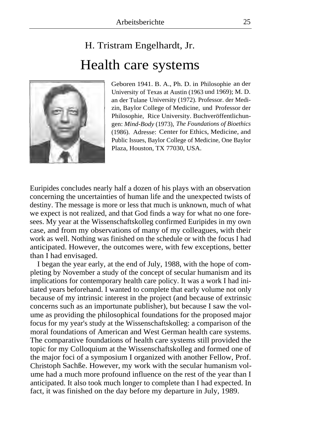## H. Tristram Engelhardt, Jr. Health care systems



Geboren 1941. B. A., Ph. D. in Philosophie an der University of Texas at Austin (1963 und 1969); M. D. an der Tulane University (1972). Professor. der Medizin, Baylor College of Medicine, und Professor der Philosophie, Rice University. Buchveröffentlichungen: *Mind-Body* (1973), *The Foundations of Bioethics*  (1986). Adresse: Center for Ethics, Medicine, and Public Issues, Baylor College of Medicine, One Baylor Plaza, Houston, TX 77030, USA.

Euripides concludes nearly half a dozen of his plays with an observation concerning the uncertainties of human life and the unexpected twists of destiny. The message is more or less that much is unknown, much of what we expect is not realized, and that God finds a way for what no one foresees. My year at the Wissenschaftskolleg confirmed Euripides in my own case, and from my observations of many of my colleagues, with their work as well. Nothing was finished on the schedule or with the focus I had anticipated. However, the outcomes were, with few exceptions, better than I had envisaged.

I began the year early, at the end of July, 1988, with the hope of completing by November a study of the concept of secular humanism and its implications for contemporary health care policy. It was a work I had initiated years beforehand. I wanted to complete that early volume not only because of my intrinsic interest in the project (and because of extrinsic concerns such as an importunate publisher), but because I saw the volume as providing the philosophical foundations for the proposed major focus for my year's study at the Wissenschaftskolleg: a comparison of the moral foundations of American and West German health care systems. The comparative foundations of health care systems still provided the topic for my Colloquium at the Wissenschaftskolleg and formed one of the major foci of a symposium I organized with another Fellow, Prof. Christoph Sachße. However, my work with the secular humanism volume had a much more profound influence on the rest of the year than I anticipated. It also took much longer to complete than I had expected. In fact, it was finished on the day before my departure in July, 1989.